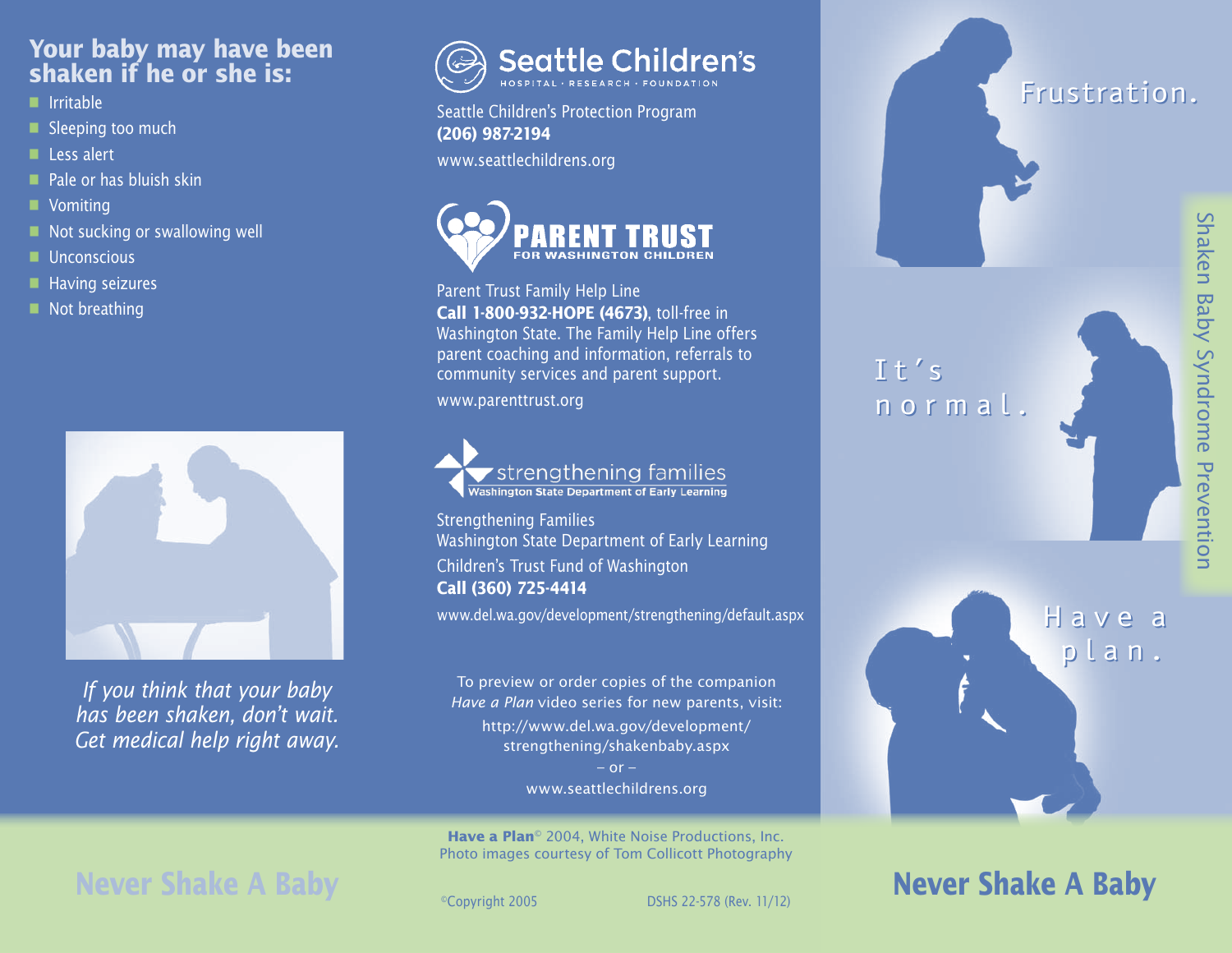#### **Your baby may have been shaken if he or she is:**

- n Irritable
- Sleeping too much
- **n** Less alert
- $\blacksquare$  Pale or has bluish skin
- **N** Vomiting
- $\blacksquare$  Not sucking or swallowing well
- $\blacksquare$  Unconscious
- $\blacksquare$  Having seizures
- $\blacksquare$  Not breathing



*If you think that your baby has been shaken, don't wait. Get medical help right away.*



Seattle Children's Protection Program **(206) 987-2194**

www.seattlechildrens.org



Parent Trust Family Help Line **Call 1-800-932-HOPE (4673)**, toll-free in Washington State. The Family Help Line offers parent coaching and information, referrals to community services and parent support.

www.parenttrust.org

strengthening families Washington State Department of Early Learning

Strengthening Families Washington State Department of Early Learning Children's Trust Fund of Washington **Call (360) 725-4414**

www.del.wa.gov/development/strengthening/default.aspx

To preview or order copies of the companion *Have a Plan* video series for new parents, visit: http://www.del.wa.gov/development/ strengthening/shakenbaby.aspx  $-$  or  $-$ 

www.seattlechildrens.org

**Have a Plan**<sup>©</sup> 2004, White Noise Productions, Inc. Photo images courtesy of Tom Collicott Photography

# **Never Shake A Baby**<br> **Example 2005** DSHS 22-578 (Rev. 11/12)

Frustration.

It's It's normal. normal.

H a v e a H a v e a

plan. plan.

## **Never Shake A Baby**